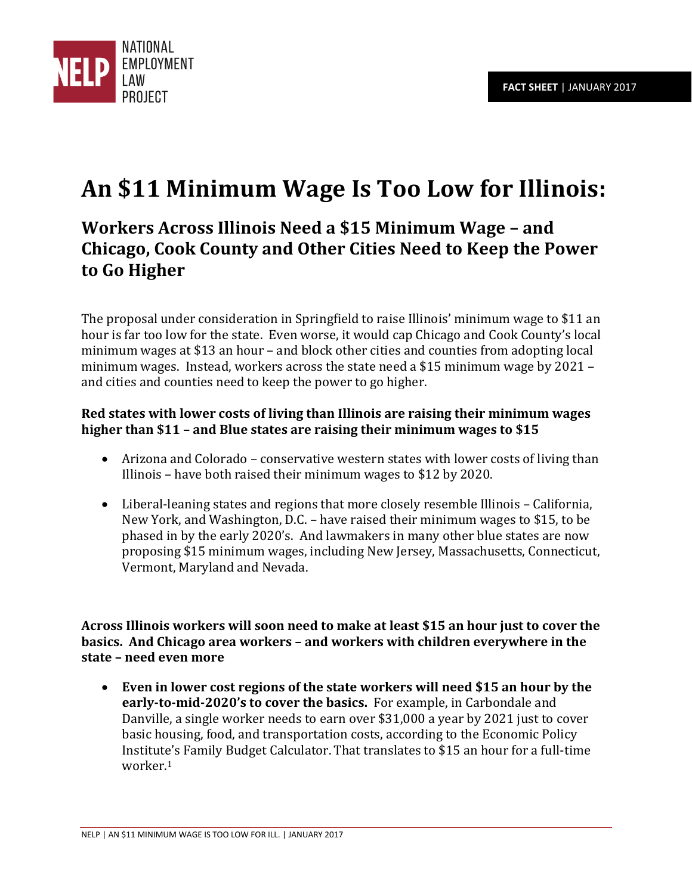

# **An \$11 Minimum Wage Is Too Low for Illinois:**

# **Workers Across Illinois Need a \$15 Minimum Wage – and Chicago, Cook County and Other Cities Need to Keep the Power to Go Higher**

The proposal under consideration in Springfield to raise Illinois' minimum wage to \$11 an hour is far too low for the state. Even worse, it would cap Chicago and Cook County's local minimum wages at \$13 an hour – and block other cities and counties from adopting local minimum wages. Instead, workers across the state need a \$15 minimum wage by 2021 – and cities and counties need to keep the power to go higher.

#### **Red states with lower costs of living than Illinois are raising their minimum wages higher than \$11 – and Blue states are raising their minimum wages to \$15**

- Arizona and Colorado conservative western states with lower costs of living than Illinois – have both raised their minimum wages to \$12 by 2020.
- Liberal-leaning states and regions that more closely resemble Illinois California, New York, and Washington, D.C. – have raised their minimum wages to \$15, to be phased in by the early 2020's. And lawmakers in many other blue states are now proposing \$15 minimum wages, including New Jersey, Massachusetts, Connecticut, Vermont, Maryland and Nevada.

**Across Illinois workers will soon need to make at least \$15 an hour just to cover the basics. And Chicago area workers – and workers with children everywhere in the state – need even more** 

 **Even in lower cost regions of the state workers will need \$15 an hour by the early-to-mid-2020's to cover the basics.** For example, in Carbondale and Danville, a single worker needs to earn over \$31,000 a year by 2021 just to cover basic housing, food, and transportation costs, according to the Economic Policy Institute's Family Budget Calculator. That translates to \$15 an hour for a full-time worker.<sup>1</sup>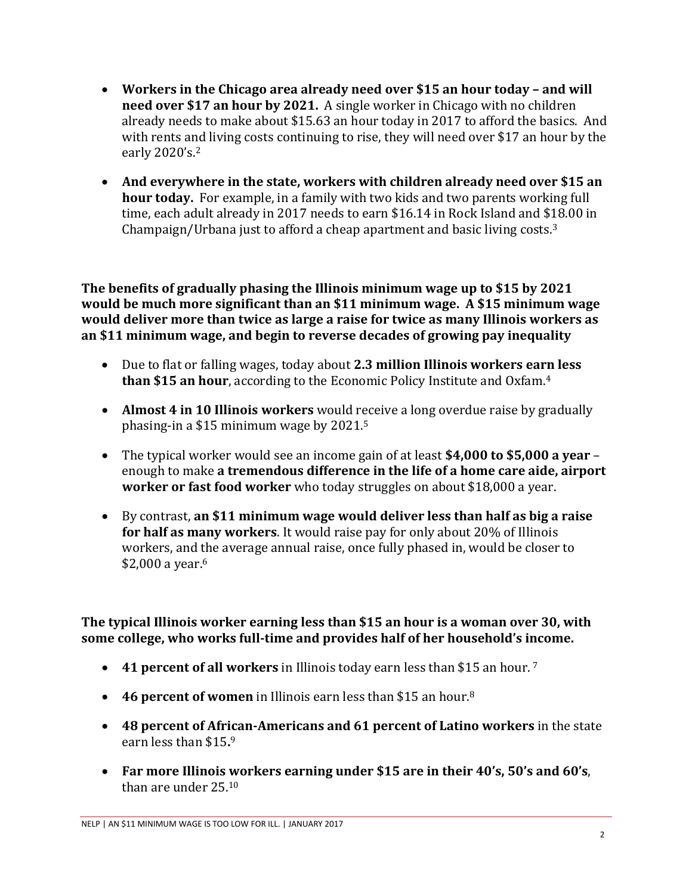- **•** Workers in the Chicago area already need over \$15 an hour today and will **need over \$17 an hour by 2021.** A single worker in Chicago with no children already needs to make about \$15.63 an hour today in 2017 to afford the basics. And with rents and living costs continuing to rise, they will need over \$17 an hour by the early 2020's.<sup>2</sup>
- **And everywhere in the state, workers with children already need over \$15 an hour today.** For example, in a family with two kids and two parents working full time, each adult already in 2017 needs to earn \$16.14 in Rock Island and \$18.00 in Champaign/Urbana just to afford a cheap apartment and basic living costs.<sup>3</sup>

**The benefits of gradually phasing the Illinois minimum wage up to \$15 by 2021 would be much more significant than an \$11 minimum wage. A \$15 minimum wage would deliver more than twice as large a raise for twice as many Illinois workers as an \$11 minimum wage, and begin to reverse decades of growing pay inequality** 

- Due to flat or falling wages, today about **2.3 million Illinois workers earn less than \$15 an hour**, according to the Economic Policy Institute and Oxfam.<sup>4</sup>
- **Almost 4 in 10 Illinois workers** would receive a long overdue raise by gradually phasing-in a \$15 minimum wage by 2021.<sup>5</sup>
- The typical worker would see an income gain of at least **\$4,000 to \$5,000 a year**  enough to make **a tremendous difference in the life of a home care aide, airport worker or fast food worker** who today struggles on about \$18,000 a year.
- By contrast, **an \$11 minimum wage would deliver less than half as big a raise for half as many workers**. It would raise pay for only about 20% of Illinois workers, and the average annual raise, once fully phased in, would be closer to \$2,000 a year.<sup>6</sup>

**The typical Illinois worker earning less than \$15 an hour is a woman over 30, with some college, who works full-time and provides half of her household's income.**

- **41 percent of all workers** in Illinois today earn less than \$15 an hour.<sup>7</sup>
- **46 percent of women** in Illinois earn less than \$15 an hour.<sup>8</sup>
- **48 percent of African-Americans and 61 percent of Latino workers** in the state earn less than \$15**.** 9
- **Far more Illinois workers earning under \$15 are in their 40's, 50's and 60's**, than are under 25.10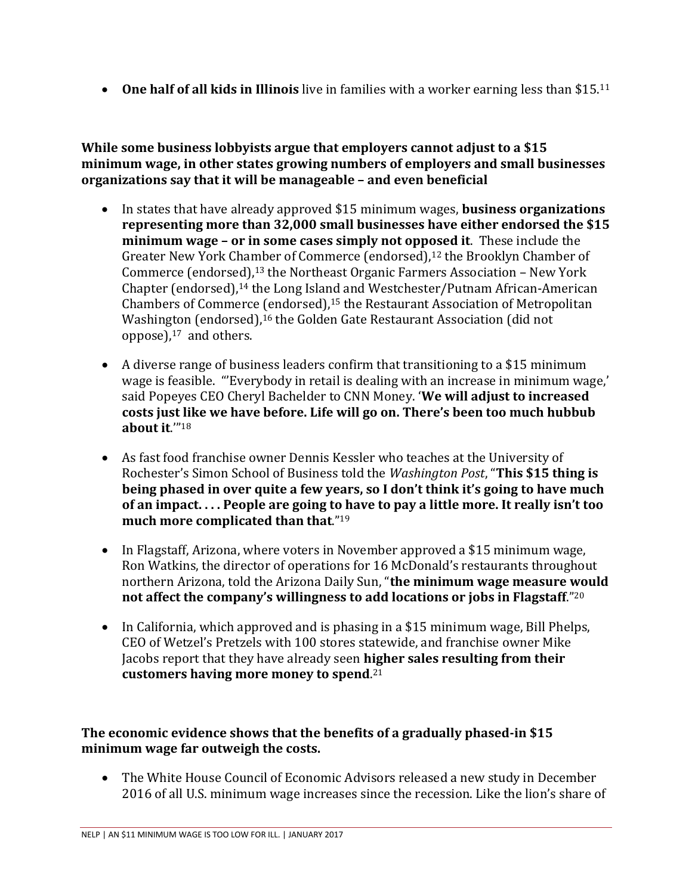**One half of all kids in Illinois** live in families with a worker earning less than \$15.<sup>11</sup>

**While some business lobbyists argue that employers cannot adjust to a \$15 minimum wage, in other states growing numbers of employers and small businesses organizations say that it will be manageable – and even beneficial**

- In states that have already approved \$15 minimum wages, **business organizations representing more than 32,000 small businesses have either endorsed the \$15 minimum wage – or in some cases simply not opposed it**. These include the Greater New York Chamber of Commerce (endorsed),<sup>12</sup> the Brooklyn Chamber of Commerce (endorsed),13 the Northeast Organic Farmers Association – New York Chapter (endorsed),14 the Long Island and Westchester/Putnam African-American Chambers of Commerce (endorsed),<sup>15</sup> the Restaurant Association of Metropolitan Washington (endorsed),<sup>16</sup> the Golden Gate Restaurant Association (did not oppose), $17$  and others.
- A diverse range of business leaders confirm that transitioning to a \$15 minimum wage is feasible. "'Everybody in retail is dealing with an increase in minimum wage,' said Popeyes CEO Cheryl Bachelder to CNN Money. '**We will adjust to increased costs just like we have before. Life will go on. There's been too much hubbub about it**.'"<sup>18</sup>
- As fast food franchise owner Dennis Kessler who teaches at the University of Rochester's Simon School of Business told the *Washington Post*, "**This \$15 thing is being phased in over quite a few years, so I don't think it's going to have much of an impact. . . . People are going to have to pay a little more. It really isn't too much more complicated than that**."<sup>19</sup>
- In Flagstaff, Arizona, where voters in November approved a \$15 minimum wage, Ron Watkins, the director of operations for 16 McDonald's restaurants throughout northern Arizona, told the Arizona Daily Sun, "**the minimum wage measure would not affect the company's willingness to add locations or jobs in Flagstaff**."<sup>20</sup>
- In California, which approved and is phasing in a \$15 minimum wage, Bill Phelps, CEO of Wetzel's Pretzels with 100 stores statewide, and franchise owner Mike Jacobs report that they have already seen **higher sales resulting from their customers having more money to spend**. 21

## **The economic evidence shows that the benefits of a gradually phased-in \$15 minimum wage far outweigh the costs.**

 The White House Council of Economic Advisors released a new study in December 2016 of all U.S. minimum wage increases since the recession. Like the lion's share of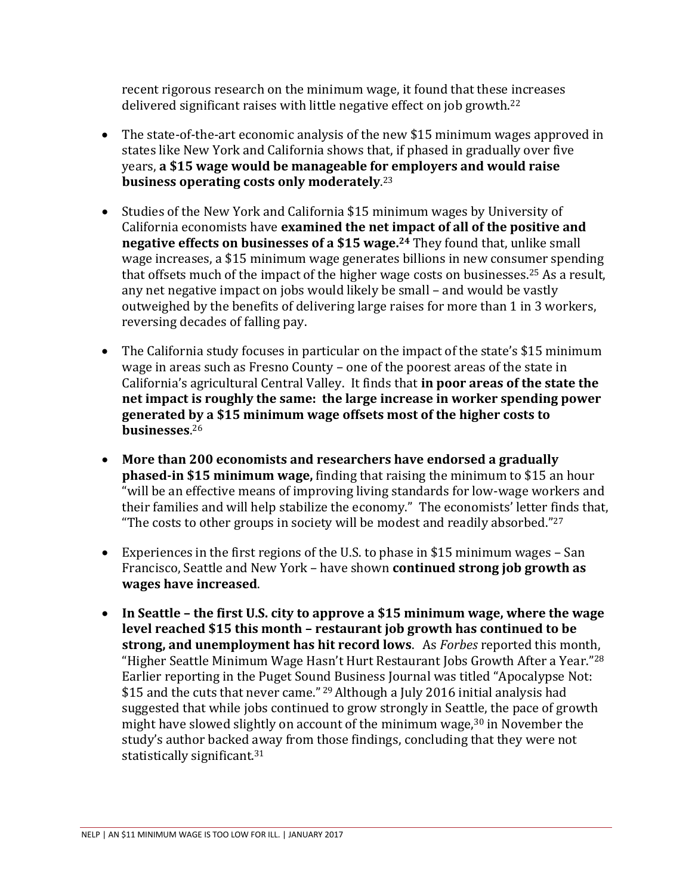recent rigorous research on the minimum wage, it found that these increases delivered significant raises with little negative effect on job growth.<sup>22</sup>

- The state-of-the-art economic analysis of the new \$15 minimum wages approved in states like New York and California shows that, if phased in gradually over five years, **a \$15 wage would be manageable for employers and would raise business operating costs only moderately**. 23
- Studies of the New York and California \$15 minimum wages by University of California economists have **examined the net impact of all of the positive and negative effects on businesses of a \$15 wage.<sup>24</sup>** They found that, unlike small wage increases, a \$15 minimum wage generates billions in new consumer spending that offsets much of the impact of the higher wage costs on businesses.<sup>25</sup> As a result, any net negative impact on jobs would likely be small – and would be vastly outweighed by the benefits of delivering large raises for more than 1 in 3 workers, reversing decades of falling pay.
- The California study focuses in particular on the impact of the state's \$15 minimum wage in areas such as Fresno County – one of the poorest areas of the state in California's agricultural Central Valley. It finds that **in poor areas of the state the net impact is roughly the same: the large increase in worker spending power generated by a \$15 minimum wage offsets most of the higher costs to businesses**. 26
- **More than 200 economists and researchers have endorsed a gradually phased-in \$15 minimum wage,** finding that raising the minimum to \$15 an hour "will be an effective means of improving living standards for low-wage workers and their families and will help stabilize the economy." The economists' letter finds that, "The costs to other groups in society will be modest and readily absorbed." $27$
- Experiences in the first regions of the U.S. to phase in \$15 minimum wages San Francisco, Seattle and New York – have shown **continued strong job growth as wages have increased**.
- **In Seattle – the first U.S. city to approve a \$15 minimum wage, where the wage level reached \$15 this month – restaurant job growth has continued to be strong, and unemployment has hit record lows**. As *Forbes* reported this month, "Higher Seattle Minimum Wage Hasn't Hurt Restaurant Jobs Growth After a Year."<sup>28</sup> Earlier reporting in the Puget Sound Business Journal was titled "Apocalypse Not: \$15 and the cuts that never came." <sup>29</sup> Although a July 2016 initial analysis had suggested that while jobs continued to grow strongly in Seattle, the pace of growth might have slowed slightly on account of the minimum wage,<sup>30</sup> in November the study's author backed away from those findings, concluding that they were not statistically significant.31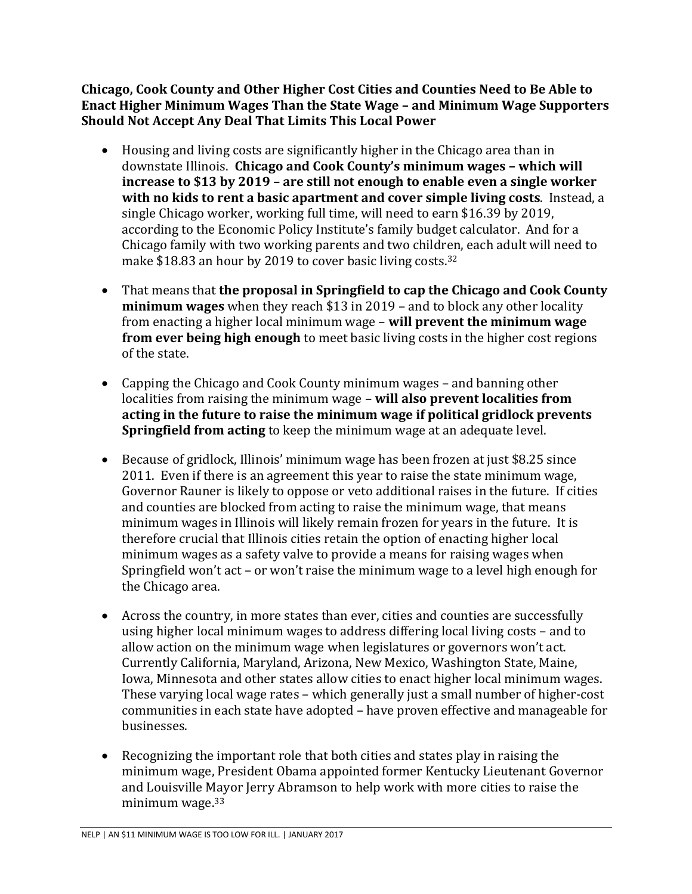**Chicago, Cook County and Other Higher Cost Cities and Counties Need to Be Able to Enact Higher Minimum Wages Than the State Wage – and Minimum Wage Supporters Should Not Accept Any Deal That Limits This Local Power** 

- Housing and living costs are significantly higher in the Chicago area than in downstate Illinois. **Chicago and Cook County's minimum wages – which will increase to \$13 by 2019 – are still not enough to enable even a single worker with no kids to rent a basic apartment and cover simple living costs**. Instead, a single Chicago worker, working full time, will need to earn \$16.39 by 2019, according to the Economic Policy Institute's family budget calculator. And for a Chicago family with two working parents and two children, each adult will need to make \$18.83 an hour by 2019 to cover basic living costs.<sup>32</sup>
- That means that **the proposal in Springfield to cap the Chicago and Cook County minimum wages** when they reach \$13 in 2019 – and to block any other locality from enacting a higher local minimum wage – **will prevent the minimum wage from ever being high enough** to meet basic living costs in the higher cost regions of the state.
- Capping the Chicago and Cook County minimum wages and banning other localities from raising the minimum wage – **will also prevent localities from acting in the future to raise the minimum wage if political gridlock prevents Springfield from acting** to keep the minimum wage at an adequate level.
- Because of gridlock, Illinois' minimum wage has been frozen at just \$8.25 since 2011. Even if there is an agreement this year to raise the state minimum wage, Governor Rauner is likely to oppose or veto additional raises in the future. If cities and counties are blocked from acting to raise the minimum wage, that means minimum wages in Illinois will likely remain frozen for years in the future. It is therefore crucial that Illinois cities retain the option of enacting higher local minimum wages as a safety valve to provide a means for raising wages when Springfield won't act – or won't raise the minimum wage to a level high enough for the Chicago area.
- Across the country, in more states than ever, cities and counties are successfully using higher local minimum wages to address differing local living costs – and to allow action on the minimum wage when legislatures or governors won't act. Currently California, Maryland, Arizona, New Mexico, Washington State, Maine, Iowa, Minnesota and other states allow cities to enact higher local minimum wages. These varying local wage rates – which generally just a small number of higher-cost communities in each state have adopted – have proven effective and manageable for businesses.
- Recognizing the important role that both cities and states play in raising the minimum wage, President Obama appointed former Kentucky Lieutenant Governor and Louisville Mayor Jerry Abramson to help work with more cities to raise the minimum wage.33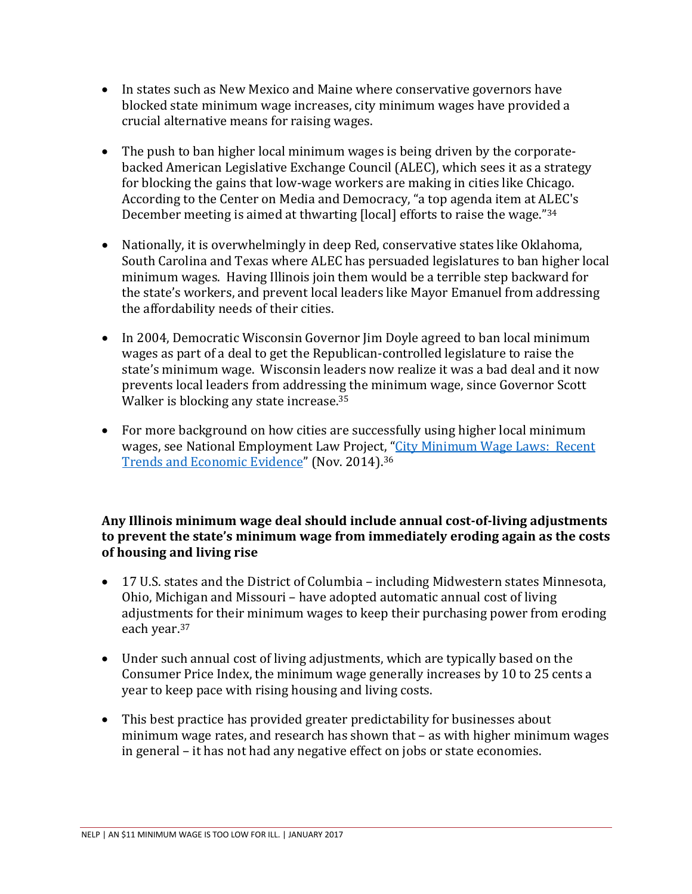- In states such as New Mexico and Maine where conservative governors have blocked state minimum wage increases, city minimum wages have provided a crucial alternative means for raising wages.
- The push to ban higher local minimum wages is being driven by the corporatebacked American Legislative Exchange Council (ALEC), which sees it as a strategy for blocking the gains that low-wage workers are making in cities like Chicago. According to the Center on Media and Democracy, "a top agenda item at ALEC's December meeting is aimed at thwarting [local] efforts to raise the wage."<sup>34</sup>
- Nationally, it is overwhelmingly in deep Red, conservative states like Oklahoma, South Carolina and Texas where ALEC has persuaded legislatures to ban higher local minimum wages. Having Illinois join them would be a terrible step backward for the state's workers, and prevent local leaders like Mayor Emanuel from addressing the affordability needs of their cities.
- In 2004, Democratic Wisconsin Governor Jim Doyle agreed to ban local minimum wages as part of a deal to get the Republican-controlled legislature to raise the state's minimum wage. Wisconsin leaders now realize it was a bad deal and it now prevents local leaders from addressing the minimum wage, since Governor Scott Walker is blocking any state increase.<sup>35</sup>
- For more background on how cities are successfully using higher local minimum wages, see National Employment Law Project, "[City Minimum Wage Laws: Recent](http://www.nelp.org/page/-/rtmw/City-Minimum-Wage-Laws-Recent-Trends-Economic-Evidence.pdf?nocdn=1)  [Trends and Economic Evidence](http://www.nelp.org/page/-/rtmw/City-Minimum-Wage-Laws-Recent-Trends-Economic-Evidence.pdf?nocdn=1)" (Nov. 2014).<sup>36</sup>

## **Any Illinois minimum wage deal should include annual cost-of-living adjustments to prevent the state's minimum wage from immediately eroding again as the costs of housing and living rise**

- 17 U.S. states and the District of Columbia including Midwestern states Minnesota, Ohio, Michigan and Missouri – have adopted automatic annual cost of living adjustments for their minimum wages to keep their purchasing power from eroding each year.<sup>37</sup>
- Under such annual cost of living adjustments, which are typically based on the Consumer Price Index, the minimum wage generally increases by 10 to 25 cents a year to keep pace with rising housing and living costs.
- This best practice has provided greater predictability for businesses about minimum wage rates, and research has shown that – as with higher minimum wages in general – it has not had any negative effect on jobs or state economies.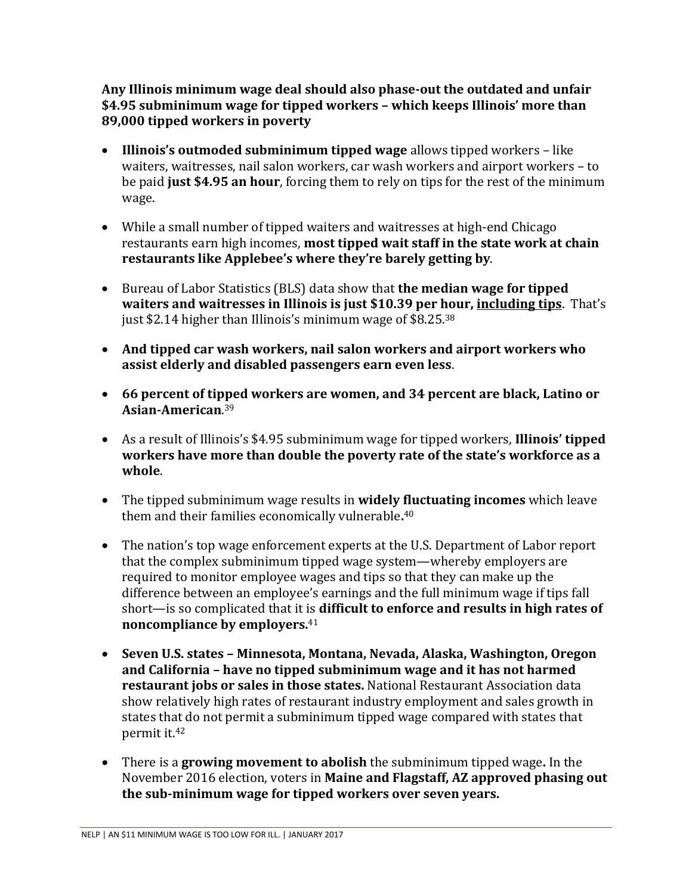**Any Illinois minimum wage deal should also phase-out the outdated and unfair \$4.95 subminimum wage for tipped workers – which keeps Illinois' more than 89,000 tipped workers in poverty** 

- **Illinois's outmoded subminimum tipped wage** allows tipped workers like waiters, waitresses, nail salon workers, car wash workers and airport workers – to be paid **just \$4.95 an hour**, forcing them to rely on tips for the rest of the minimum wage.
- While a small number of tipped waiters and waitresses at high-end Chicago restaurants earn high incomes, **most tipped wait staff in the state work at chain restaurants like Applebee's where they're barely getting by**.
- Bureau of Labor Statistics (BLS) data show that **the median wage for tipped waiters and waitresses in Illinois is just \$10.39 per hour, including tips**. That's just \$2.14 higher than Illinois's minimum wage of \$8.25.38
- **And tipped car wash workers, nail salon workers and airport workers who assist elderly and disabled passengers earn even less**.
- **66 percent of tipped workers are women, and 34 percent are black, Latino or Asian-American**. 39
- As a result of Illinois's \$4.95 subminimum wage for tipped workers, **Illinois' tipped workers have more than double the poverty rate of the state's workforce as a whole**.
- The tipped subminimum wage results in **widely fluctuating incomes** which leave them and their families economically vulnerable**.** 40
- The nation's top wage enforcement experts at the U.S. Department of Labor report that the complex subminimum tipped wage system—whereby employers are required to monitor employee wages and tips so that they can make up the difference between an employee's earnings and the full minimum wage if tips fall short—is so complicated that it is **difficult to enforce and results in high rates of noncompliance by employers.**<sup>41</sup>
- **Seven U.S. states – Minnesota, Montana, Nevada, Alaska, Washington, Oregon and California – have no tipped subminimum wage and it has not harmed restaurant jobs or sales in those states.** National Restaurant Association data show relatively high rates of restaurant industry employment and sales growth in states that do not permit a subminimum tipped wage compared with states that permit it.<sup>42</sup>
- There is a **growing movement to abolish** the subminimum tipped wage**.** In the November 2016 election, voters in **Maine and Flagstaff, AZ approved phasing out the sub-minimum wage for tipped workers over seven years.**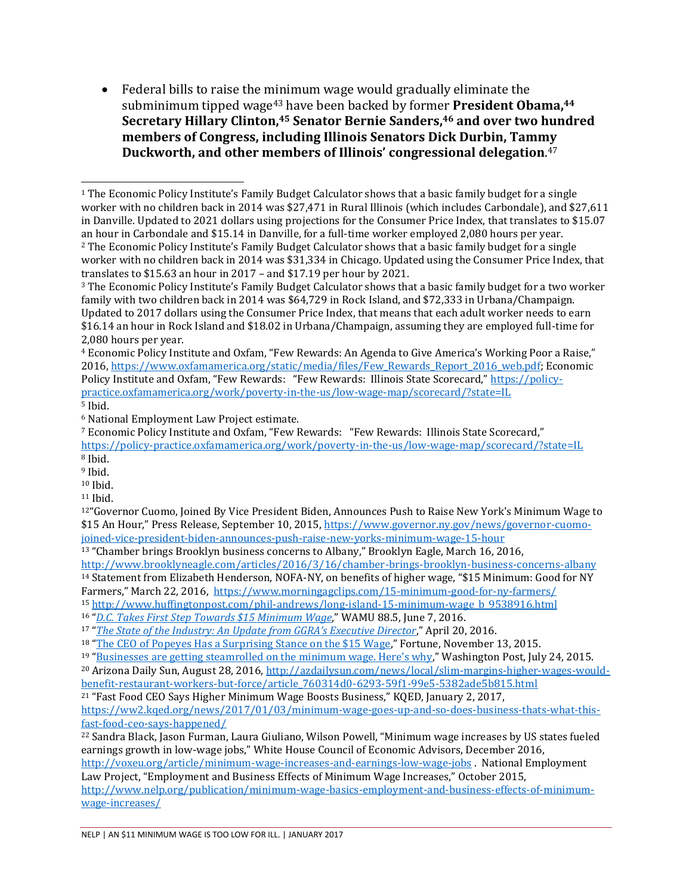Federal bills to raise the minimum wage would gradually eliminate the subminimum tipped wage43 have been backed by former **President Obama,<sup>44</sup> Secretary Hillary Clinton,45 Senator Bernie Sanders,46 and over two hundred members of Congress, including Illinois Senators Dick Durbin, Tammy Duckworth, and other members of Illinois' congressional delegation**. 47

<sup>4</sup> Economic Policy Institute and Oxfam, "Few Rewards: An Agenda to Give America's Working Poor a Raise," 2016[, https://www.oxfamamerica.org/static/media/files/Few\\_Rewards\\_Report\\_2016\\_web.pdf;](https://www.oxfamamerica.org/static/media/files/Few_Rewards_Report_2016_web.pdf) Economic Policy Institute and Oxfam, "Few Rewards: "Few Rewards: Illinois State Scorecard," [https://policy](https://policy-practice.oxfamamerica.org/work/poverty-in-the-us/low-wage-map/scorecard/?state=IL)[practice.oxfamamerica.org/work/poverty-in-the-us/low-wage-map/scorecard/?state=IL](https://policy-practice.oxfamamerica.org/work/poverty-in-the-us/low-wage-map/scorecard/?state=IL)  <sup>5</sup> Ibid.

<sup>11</sup> Ibid.

<sup>1</sup> The Economic Policy Institute's Family Budget Calculator shows that a basic family budget for a single worker with no children back in 2014 was \$27,471 in Rural Illinois (which includes Carbondale), and \$27,611 in Danville. Updated to 2021 dollars using projections for the Consumer Price Index, that translates to \$15.07 an hour in Carbondale and \$15.14 in Danville, for a full-time worker employed 2,080 hours per year. <sup>2</sup> The Economic Policy Institute's Family Budget Calculator shows that a basic family budget for a single worker with no children back in 2014 was \$31,334 in Chicago. Updated using the Consumer Price Index, that translates to \$15.63 an hour in 2017 – and \$17.19 per hour by 2021.  $\overline{a}$ 

<sup>3</sup> The Economic Policy Institute's Family Budget Calculator shows that a basic family budget for a two worker family with two children back in 2014 was \$64,729 in Rock Island, and \$72,333 in Urbana/Champaign. Updated to 2017 dollars using the Consumer Price Index, that means that each adult worker needs to earn \$16.14 an hour in Rock Island and \$18.02 in Urbana/Champaign, assuming they are employed full-time for 2,080 hours per year.

<sup>6</sup> National Employment Law Project estimate.

<sup>7</sup> Economic Policy Institute and Oxfam, "Few Rewards: "Few Rewards: Illinois State Scorecard," <https://policy-practice.oxfamamerica.org/work/poverty-in-the-us/low-wage-map/scorecard/?state=IL> <sup>8</sup> Ibid.

<sup>&</sup>lt;sup>9</sup> Ibid.

<sup>10</sup> Ibid.

<sup>&</sup>lt;sup>12"</sup>Governor Cuomo, Joined By Vice President Biden, Announces Push to Raise New York's Minimum Wage to \$15 An Hour," Press Release, September 10, 2015, [https://www.governor.ny.gov/news/governor-cuomo](https://www.governor.ny.gov/news/governor-cuomo-joined-vice-president-biden-announces-push-raise-new-yorks-minimum-wage-15-hour)[joined-vice-president-biden-announces-push-raise-new-yorks-minimum-wage-15-hour](https://www.governor.ny.gov/news/governor-cuomo-joined-vice-president-biden-announces-push-raise-new-yorks-minimum-wage-15-hour) 

<sup>13</sup> "Chamber brings Brooklyn business concerns to Albany," Brooklyn Eagle, March 16, 2016,

<http://www.brooklyneagle.com/articles/2016/3/16/chamber-brings-brooklyn-business-concerns-albany> <sup>14</sup> Statement from Elizabeth Henderson, NOFA-NY, on benefits of higher wage, "\$15 Minimum: Good for NY

Farmers," March 22, 2016, <https://www.morningagclips.com/15-minimum-good-for-ny-farmers/>

<sup>15</sup> [http://www.huffingtonpost.com/phil-andrews/long-island-15-minimum-wage\\_b\\_9538916.html](http://www.huffingtonpost.com/phil-andrews/long-island-15-minimum-wage_b_9538916.html) 

<sup>16</sup> "*[D.C. Takes First Step Towards \\$15 Minimum Wage](https://wamu.org/news/16/06/07/dc_takes_first_step_towards_15_minimum_wage)*," WAMU 88.5, June 7, 2016.

<sup>17</sup> "*[The State of the Industry: An Update from GGRA's Executive Director](http://ggra.org/the-state-of-the-industry-an-update-from-ggras-executive-director/)*," April 20, 2016.

<sup>&</sup>lt;sup>18</sup> "[The CEO of Popeyes Has a Surprising Stance on the \\$15 Wage](http://fortune.com/2015/11/13/popeyes-minimum-wage-fast-food/)," Fortune, November 13, 2015.

<sup>&</sup>lt;sup>19</sup> ["Businesses are getting steamrolled on the minimum wage. Here's why,](https://www.washingtonpost.com/news/wonk/wp/2015/07/24/businesses-are-getting-steamrolled-on-the-minimum-wage-heres-why/)" Washington Post, July 24, 2015.

<sup>20</sup> Arizona Daily Sun, August 28, 2016[, http://azdailysun.com/news/local/slim-margins-higher-wages-would](http://azdailysun.com/news/local/slim-margins-higher-wages-would-benefit-restaurant-workers-but-force/article_760314d0-6293-59f1-99e5-5382ade5b815.html)[benefit-restaurant-workers-but-force/article\\_760314d0-6293-59f1-99e5-5382ade5b815.html](http://azdailysun.com/news/local/slim-margins-higher-wages-would-benefit-restaurant-workers-but-force/article_760314d0-6293-59f1-99e5-5382ade5b815.html) 

<sup>21</sup> "Fast Food CEO Says Higher Minimum Wage Boosts Business," KQED, January 2, 2017,

[https://ww2.kqed.org/news/2017/01/03/minimum-wage-goes-up-and-so-does-business-thats-what-this](https://ww2.kqed.org/news/2017/01/03/minimum-wage-goes-up-and-so-does-business-thats-what-this-fast-food-ceo-says-happened/)[fast-food-ceo-says-happened/](https://ww2.kqed.org/news/2017/01/03/minimum-wage-goes-up-and-so-does-business-thats-what-this-fast-food-ceo-says-happened/) 

<sup>22</sup> Sandra Black, Jason Furman, Laura Giuliano, Wilson Powell, "Minimum wage increases by US states fueled earnings growth in low-wage jobs," White House Council of Economic Advisors, December 2016, [http://voxeu.org/article/minimum-wage-increases-and-earnings-low-wage-jobs .](http://voxeu.org/article/minimum-wage-increases-and-earnings-low-wage-jobs) National Employment

Law Project, "Employment and Business Effects of Minimum Wage Increases," October 2015, [http://www.nelp.org/publication/minimum-wage-basics-employment-and-business-effects-of-minimum](http://www.nelp.org/publication/minimum-wage-basics-employment-and-business-effects-of-minimum-wage-increases/)[wage-increases/](http://www.nelp.org/publication/minimum-wage-basics-employment-and-business-effects-of-minimum-wage-increases/)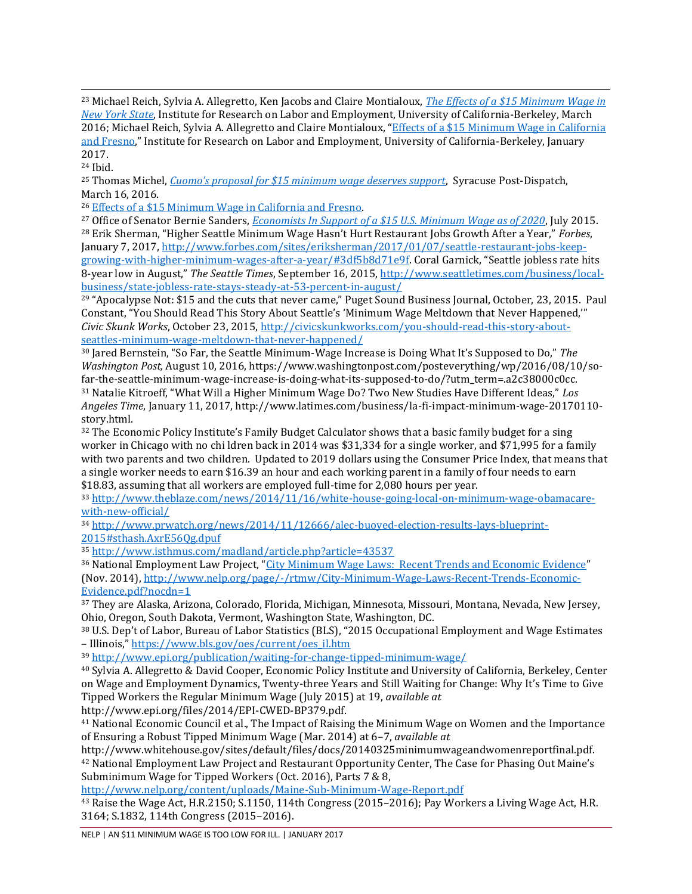<sup>23</sup> Michael Reich, Sylvia A. Allegretto, Ken Jacobs and Claire Montialoux, *[The Effects of a \\$15 Minimum Wage in](http://laborcenter.berkeley.edu/the-effects-of-a-15-minimum-wage-in-new-york-state/)  [New York State](http://laborcenter.berkeley.edu/the-effects-of-a-15-minimum-wage-in-new-york-state/)*, Institute for Research on Labor and Employment, University of California-Berkeley, March 2016; Michael Reich, Sylvia A. Allegretto and Claire Montialoux, "[Effects of a \\$15 Minimum Wage in California](http://irle.berkeley.edu/effects-of-a-15-minimum-wage-in-california-and-fresno/)  [and Fresno](http://irle.berkeley.edu/effects-of-a-15-minimum-wage-in-california-and-fresno/)," Institute for Research on Labor and Employment, University of California-Berkeley, January 2017.

<sup>24</sup> Ibid.

<sup>25</sup> Thomas Michel, *[Cuomo's proposal for \\$15 minimum wage deserves support](http://www.syracuse.com/opinion/index.ssf/2016/03/cuomos_proposal_for_15_minimum_wage_deserves_support_commentary.html)*, Syracuse Post-Dispatch, March 16, 2016.

<sup>26</sup> [Effects of a \\$15 Minimum Wage in California and Fresno.](http://irle.berkeley.edu/effects-of-a-15-minimum-wage-in-california-and-fresno/) 

<sup>27</sup> Office of Senator Bernie Sanders, *[Economists In Support of a \\$15 U.S. Minimum Wage as of 2020](http://www.sanders.senate.gov/download/15-minimum-wage-petition?inline=file)*, July 2015. <sup>28</sup> Erik Sherman, "Higher Seattle Minimum Wage Hasn't Hurt Restaurant Jobs Growth After a Year," *Forbes*, January 7, 2017[, http://www.forbes.com/sites/eriksherman/2017/01/07/seattle-restaurant-jobs-keep-](http://www.forbes.com/sites/eriksherman/2017/01/07/seattle-restaurant-jobs-keep-growing-with-higher-minimum-wages-after-a-year/#3df5b8d71e9f)

[growing-with-higher-minimum-wages-after-a-year/#3df5b8d71e9f](http://www.forbes.com/sites/eriksherman/2017/01/07/seattle-restaurant-jobs-keep-growing-with-higher-minimum-wages-after-a-year/#3df5b8d71e9f). Coral Garnick, "Seattle jobless rate hits 8-year low in August," *The Seattle Times*, September 16, 2015[, http://www.seattletimes.com/business/local](http://www.seattletimes.com/business/local-business/state-jobless-rate-stays-steady-at-53-percent-in-august/)[business/state-jobless-rate-stays-steady-at-53-percent-in-august/](http://www.seattletimes.com/business/local-business/state-jobless-rate-stays-steady-at-53-percent-in-august/) 

<sup>29</sup> "Apocalypse Not: \$15 and the cuts that never came," Puget Sound Business Journal, October, 23, 2015. Paul Constant, "You Should Read This Story About Seattle's 'Minimum Wage Meltdown that Never Happened,'" *Civic Skunk Works*, October 23, 2015, [http://civicskunkworks.com/you-should-read-this-story-about](http://civicskunkworks.com/you-should-read-this-story-about-seattles-minimum-wage-meltdown-that-never-happened/)[seattles-minimum-wage-meltdown-that-never-happened/](http://civicskunkworks.com/you-should-read-this-story-about-seattles-minimum-wage-meltdown-that-never-happened/) 

<sup>30</sup> Jared Bernstein, "So Far, the Seattle Minimum-Wage Increase is Doing What It's Supposed to Do," *The Washington Post,* August 10, 2016, https://www.washingtonpost.com/posteverything/wp/2016/08/10/sofar-the-seattle-minimum-wage-increase-is-doing-what-its-supposed-to-do/?utm\_term=.a2c38000c0cc. <sup>31</sup> Natalie Kitroeff, "What Will a Higher Minimum Wage Do? Two New Studies Have Different Ideas," *Los Angeles Time*, January 11, 2017, http://www.latimes.com/business/la-fi-impact-minimum-wage-20170110 story.html.

<sup>32</sup> The Economic Policy Institute's Family Budget Calculator shows that a basic family budget for a sing worker in Chicago with no chi ldren back in 2014 was \$31,334 for a single worker, and \$71,995 for a family with two parents and two children. Updated to 2019 dollars using the Consumer Price Index, that means that a single worker needs to earn \$16.39 an hour and each working parent in a family of four needs to earn \$18.83, assuming that all workers are employed full-time for 2,080 hours per year.

<sup>33</sup> [http://www.theblaze.com/news/2014/11/16/white-house-going-local-on-minimum-wage-obamacare](http://www.theblaze.com/news/2014/11/16/white-house-going-local-on-minimum-wage-obamacare-with-new-official/)[with-new-official/](http://www.theblaze.com/news/2014/11/16/white-house-going-local-on-minimum-wage-obamacare-with-new-official/) 

<sup>34</sup> [http://www.prwatch.org/news/2014/11/12666/alec-buoyed-election-results-lays-blueprint-](http://www.prwatch.org/news/2014/11/12666/alec-buoyed-election-results-lays-blueprint-2015#sthash.AxrE56Qg.dpuf)[2015#sthash.AxrE56Qg.dpuf](http://www.prwatch.org/news/2014/11/12666/alec-buoyed-election-results-lays-blueprint-2015#sthash.AxrE56Qg.dpuf) 

<sup>35</sup> <http://www.isthmus.com/madland/article.php?article=43537>

<sup>36</sup> National Employment Law Project, "[City Minimum Wage Laws: Recent Trends and Economic Evidence](http://www.nelp.org/page/-/rtmw/City-Minimum-Wage-Laws-Recent-Trends-Economic-Evidence.pdf?nocdn=1)" (Nov. 2014)[, http://www.nelp.org/page/-/rtmw/City-Minimum-Wage-Laws-Recent-Trends-Economic-](http://www.nelp.org/page/-/rtmw/City-Minimum-Wage-Laws-Recent-Trends-Economic-Evidence.pdf?nocdn=1)[Evidence.pdf?nocdn=1](http://www.nelp.org/page/-/rtmw/City-Minimum-Wage-Laws-Recent-Trends-Economic-Evidence.pdf?nocdn=1) 

<sup>37</sup> They are Alaska, Arizona, Colorado, Florida, Michigan, Minnesota, Missouri, Montana, Nevada, New Jersey, Ohio, Oregon, South Dakota, Vermont, Washington State, Washington, DC.

<sup>38</sup> U.S. Dep't of Labor, Bureau of Labor Statistics (BLS), "2015 Occupational Employment and Wage Estimates – Illinois," [https://www.bls.gov/oes/current/oes\\_il.htm](https://www.bls.gov/oes/current/oes_il.htm) 

<sup>39</sup> <http://www.epi.org/publication/waiting-for-change-tipped-minimum-wage/>

<sup>40</sup> Sylvia A. Allegretto & David Cooper, Economic Policy Institute and University of California, Berkeley, Center on Wage and Employment Dynamics, Twenty-three Years and Still Waiting for Change: Why It's Time to Give Tipped Workers the Regular Minimum Wage (July 2015) at 19, *available at*

http://www.epi.org/files/2014/EPI-CWED-BP379.pdf.

<sup>41</sup> National Economic Council et al., The Impact of Raising the Minimum Wage on Women and the Importance of Ensuring a Robust Tipped Minimum Wage (Mar. 2014) at 6–7, *available at* 

http://www.whitehouse.gov/sites/default/files/docs/20140325minimumwageandwomenreportfinal.pdf. <sup>42</sup> National Employment Law Project and Restaurant Opportunity Center, The Case for Phasing Out Maine's Subminimum Wage for Tipped Workers (Oct. 2016), Parts 7 & 8,

<http://www.nelp.org/content/uploads/Maine-Sub-Minimum-Wage-Report.pdf>

<sup>43</sup> Raise the Wage Act, H.R.2150; S.1150, 114th Congress (2015–2016); Pay Workers a Living Wage Act, H.R. 3164; S.1832, 114th Congress (2015–2016).